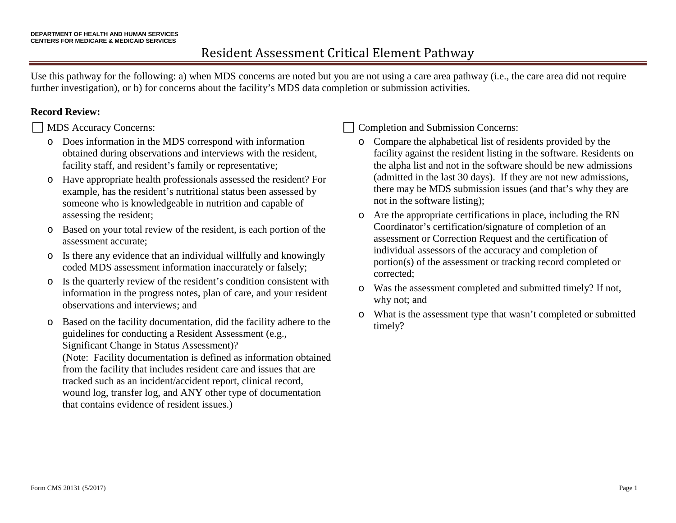## Resident Assessment Critical Element Pathway

Use this pathway for the following: a) when MDS concerns are noted but you are not using a care area pathway (i.e., the care area did not require further investigation), or b) for concerns about the facility's MDS data completion or submission activities.

## **Record Review:**

MDS Accuracy Concerns:

- o Does information in the MDS correspond with information obtained during observations and interviews with the resident, facility staff, and resident's family or representative;
- o Have appropriate health professionals assessed the resident? For example, has the resident's nutritional status been assessed by someone who is knowledgeable in nutrition and capable of assessing the resident;
- o Based on your total review of the resident, is each portion of the assessment accurate;
- o Is there any evidence that an individual willfully and knowingly coded MDS assessment information inaccurately or falsely;
- o Is the quarterly review of the resident's condition consistent with information in the progress notes, plan of care, and your resident observations and interviews; and
- o Based on the facility documentation, did the facility adhere to the guidelines for conducting a Resident Assessment (e.g., Significant Change in Status Assessment)?

(Note: Facility documentation is defined as information obtained from the facility that includes resident care and issues that are tracked such as an incident/accident report, clinical record, wound log, transfer log, and ANY other type of documentation that contains evidence of resident issues.)

Completion and Submission Concerns:

- o Compare the alphabetical list of residents provided by the facility against the resident listing in the software. Residents on the alpha list and not in the software should be new admissions (admitted in the last 30 days). If they are not new admissions, there may be MDS submission issues (and that's why they are not in the software listing);
- o Are the appropriate certifications in place, including the RN Coordinator's certification/signature of completion of an assessment or Correction Request and the certification of individual assessors of the accuracy and completion of portion(s) of the assessment or tracking record completed or corrected;
- o Was the assessment completed and submitted timely? If not, why not; and
- o What is the assessment type that wasn't completed or submitted timely?